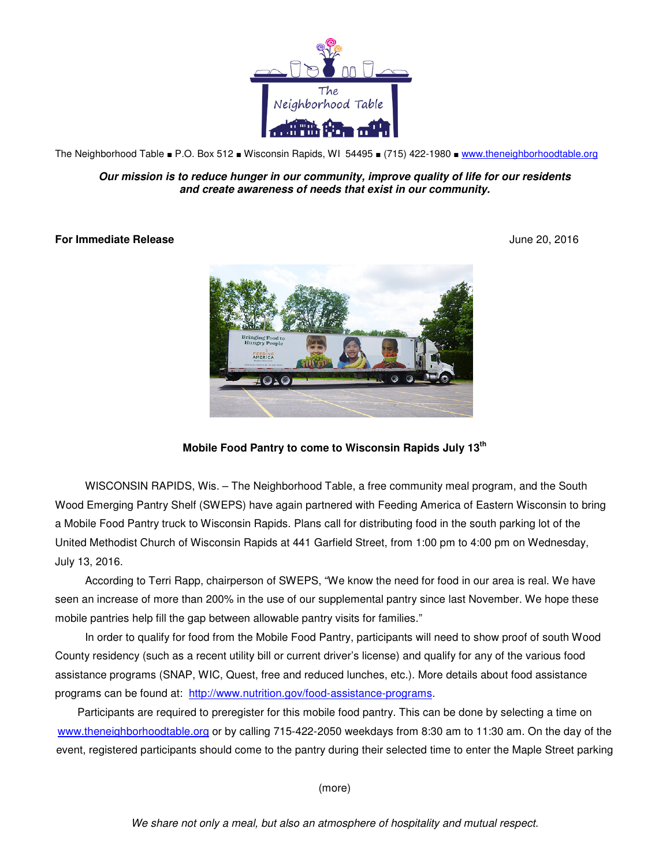

The Neighborhood Table ■ P.O. Box 512 ■ Wisconsin Rapids, WI 54495 ■ (715) 422-1980 ■ www.theneighborhoodtable.org

**Our mission is to reduce hunger in our community, improve quality of life for our residents and create awareness of needs that exist in our community.**

## **For Immediate Release** June 20, 2016



**Mobile Food Pantry to come to Wisconsin Rapids July 13th**

WISCONSIN RAPIDS, Wis. – The Neighborhood Table, a free community meal program, and the South Wood Emerging Pantry Shelf (SWEPS) have again partnered with Feeding America of Eastern Wisconsin to bring a Mobile Food Pantry truck to Wisconsin Rapids. Plans call for distributing food in the south parking lot of the United Methodist Church of Wisconsin Rapids at 441 Garfield Street, from 1:00 pm to 4:00 pm on Wednesday, July 13, 2016.

According to Terri Rapp, chairperson of SWEPS, "We know the need for food in our area is real. We have seen an increase of more than 200% in the use of our supplemental pantry since last November. We hope these mobile pantries help fill the gap between allowable pantry visits for families."

In order to qualify for food from the Mobile Food Pantry, participants will need to show proof of south Wood County residency (such as a recent utility bill or current driver's license) and qualify for any of the various food assistance programs (SNAP, WIC, Quest, free and reduced lunches, etc.). More details about food assistance programs can be found at: http://www.nutrition.gov/food-assistance-programs.

Participants are required to preregister for this mobile food pantry. This can be done by selecting a time on www.theneighborhoodtable.org or by calling 715-422-2050 weekdays from 8:30 am to 11:30 am. On the day of the event, registered participants should come to the pantry during their selected time to enter the Maple Street parking

(more)